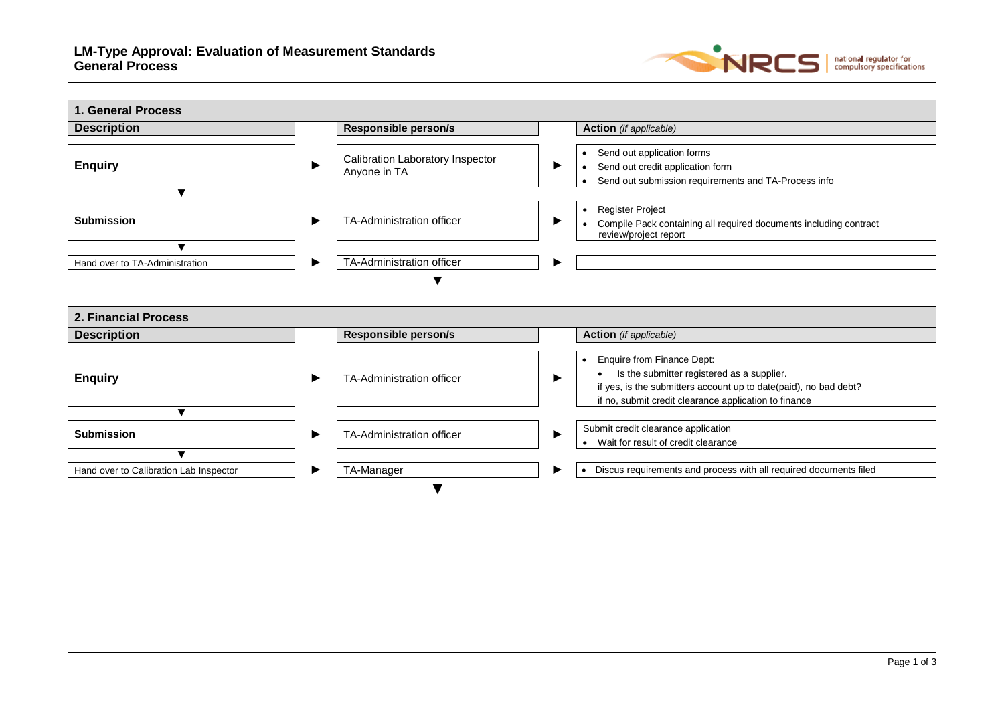

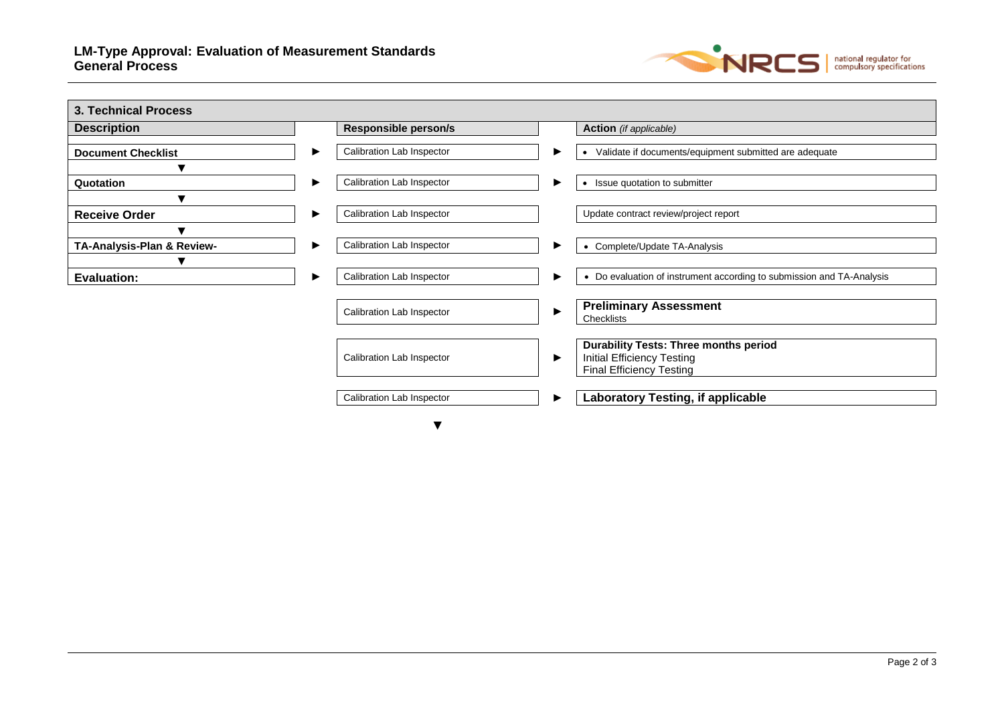

| <b>Description</b>         | <b>Responsible person/s</b> |   | <b>Action</b> (if applicable)                                                                                        |
|----------------------------|-----------------------------|---|----------------------------------------------------------------------------------------------------------------------|
| <b>Document Checklist</b>  | Calibration Lab Inspector   | ▶ | Validate if documents/equipment submitted are adequate                                                               |
|                            |                             |   |                                                                                                                      |
| Quotation                  | Calibration Lab Inspector   | ▶ | Issue quotation to submitter<br>$\bullet$                                                                            |
| $\blacksquare$             |                             |   |                                                                                                                      |
| <b>Receive Order</b>       | Calibration Lab Inspector   |   | Update contract review/project report                                                                                |
| v                          |                             |   |                                                                                                                      |
| TA-Analysis-Plan & Review- | Calibration Lab Inspector   | ▶ | Complete/Update TA-Analysis                                                                                          |
|                            |                             |   |                                                                                                                      |
| <b>Evaluation:</b>         | Calibration Lab Inspector   | ▶ | • Do evaluation of instrument according to submission and TA-Analysis                                                |
|                            | Calibration Lab Inspector   | ▶ | <b>Preliminary Assessment</b><br>Checklists                                                                          |
|                            | Calibration Lab Inspector   | ▶ | <b>Durability Tests: Three months period</b><br><b>Initial Efficiency Testing</b><br><b>Final Efficiency Testing</b> |
|                            | Calibration Lab Inspector   | ▶ | <b>Laboratory Testing, if applicable</b>                                                                             |

▼